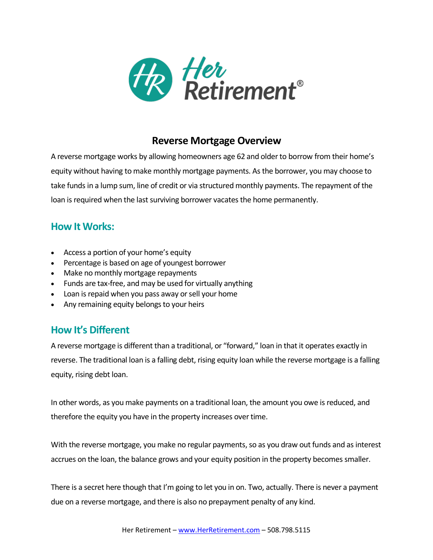

# **Reverse Mortgage Overview**

A reverse mortgage works by allowing homeowners age 62 and olderto borrow from their home's equity without having to make monthly mortgage payments. As the borrower, you may choose to take funds in a lump sum, line of credit or via structured monthly payments. The repayment of the loan is required when the last surviving borrower vacates the home permanently.

### **How It Works:**

- Access a portion of your home's equity
- Percentage is based on age of youngest borrower
- Make no monthly mortgage repayments
- Funds are tax-free, and may be used for virtually anything
- Loan is repaid when you pass away or sell your home
- Any remaining equity belongs to your heirs

# **How It's Different**

A reverse mortgage is different than a traditional, or "forward," loan in that it operates exactly in reverse. The traditional loan is a falling debt, rising equity loan while the reverse mortgage is a falling equity, rising debt loan.

In other words, as you make payments on a traditional loan, the amount you owe is reduced, and therefore the equity you have in the property increases over time.

With the reverse mortgage, you make no regular payments, so as you draw out funds and as interest accrues on the loan, the balance grows and your equity position in the property becomes smaller.

There is a secret here though that I'm going to let you in on. Two, actually. There is never a payment due on a reverse mortgage, and there is also no prepayment penalty of any kind.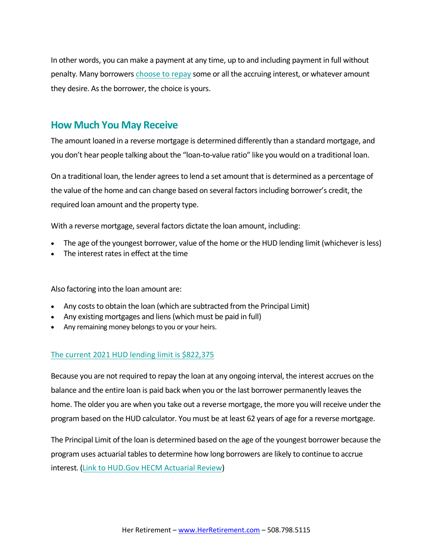In other words, you can make a payment at any time, up to and including payment in full without penalty. Many borrowers [choose](https://reverse.mortgage/interest-repayment/) to repay some or all the accruing interest, or whatever amount they desire. As the borrower, the choice is yours.

### **How Much You May Receive**

The amount loaned in a reverse mortgage is determined differently than a standard mortgage, and you don't hear people talking about the "loan-to-value ratio" like you would on a traditional loan.

On a traditional loan, the lender agrees to lend a set amount that is determined as a percentage of the value of the home and can change based on several factors including borrower's credit, the required loan amount and the property type.

With a reverse mortgage, several factors dictate the loan amount, including:

- The age of the youngest borrower, value of the home or the HUD lending limit (whichever is less)
- The interest rates in effect at the time

Also factoring into the loan amount are:

- Any costs to obtain the loan (which are subtracted from the Principal Limit)
- Any existing mortgages and liens (which must be paid in full)
- Any remaining money belongs to you or your heirs.

#### The current 2021 HUD lending limit is [\\$822,375](https://reverse.mortgage/2021-limits)

Because you are not required to repay the loan at any ongoing interval, the interest accrues on the balance and the entire loan is paid back when you or the last borrower permanently leaves the home. The older you are when you take out a reverse mortgage, the more you will receive under the program based on the HUD calculator. You must be at least 62 years of age for a reverse mortgage.

The Principal Limit of the loan is determined based on the age of the youngest borrower because the program uses actuarial tables to determine how long borrowers are likely to continue to accrue interest. (Link to [HUD.Gov](https://www.hud.gov/sites/documents/AR2012_HECM_LOANS.PDF) HECM Actuarial Review)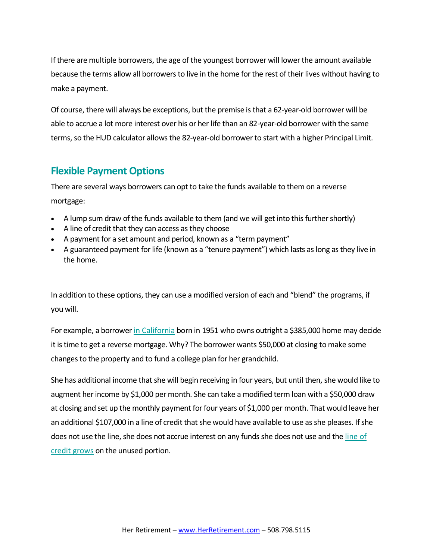If there are multiple borrowers, the age of the youngest borrower will lower the amount available because the terms allow all borrowers to live in the home for the rest of their lives without having to make a payment.

Of course, there will always be exceptions, but the premise is that a 62-year-old borrower will be able to accrue a lot more interest over his or her life than an 82-year-old borrower with the same terms, so the HUD calculator allows the 82-year-old borrower to start with a higher Principal Limit.

### **Flexible Payment Options**

There are several ways borrowers can opt to take the funds available to them on a reverse mortgage:

- A lump sum draw of the funds available to them (and we will get into this further shortly)
- A line of credit that they can access as they choose
- A payment for a set amount and period, known as a "term payment"
- A guaranteed payment for life (known as a "tenure payment") which lasts as long as they live in the home.

In addition to these options, they can use a modified version of each and "blend" the programs, if you will.

For example, a borrower in [California](https://reverse.mortgage/lenders/california) born in 1951 who owns outright a \$385,000 home may decide it is time to get a reverse mortgage. Why? The borrower wants \$50,000 at closing to make some changes to the property and to fund a college plan for her grandchild.

She has additional income that she will begin receiving in four years, but until then, she would like to augment her income by \$1,000 per month. She can take a modified term loan with a \$50,000 draw at closing and set up the monthly payment for four years of \$1,000 per month. That would leave her an additional \$107,000 in a line of credit that she would have available to use as she pleases. If she does not use the line, she does not accrue interest on any funds she does not use and the [line](https://reverse.mortgage/line-of-credit) of credit [grows](https://reverse.mortgage/line-of-credit) on the unused portion.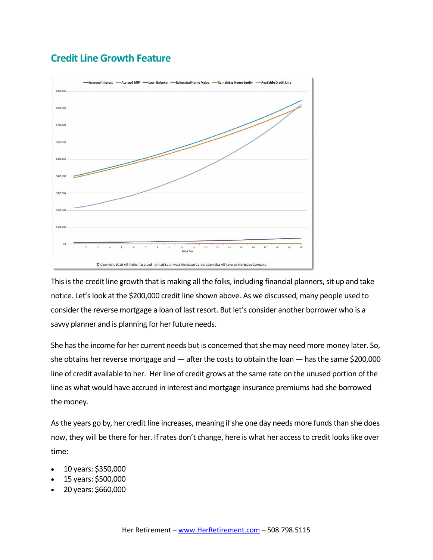# **Credit Line Growth Feature**



This is the credit line growth that is making all the folks, including financial planners, sit up and take notice. Let's look at the \$200,000 credit line shown above. As we discussed, many people used to consider the reverse mortgage a loan of last resort. But let's consider another borrower who is a savvy planner and is planning for her future needs.

She has the income for her current needs but is concerned that she may need more money later. So, she obtains her reverse mortgage and — after the costs to obtain the loan — has the same \$200,000 line of credit available to her. Her line of credit grows at the same rate on the unused portion of the line as what would have accrued in interest and mortgage insurance premiums had she borrowed the money.

As the years go by, her credit line increases, meaning if she one day needs more funds than she does now, they will be there for her. If rates don't change, here is what her access to credit looks like over time:

- 10 years: \$350,000
- 15 years: \$500,000
- 20 years: \$660,000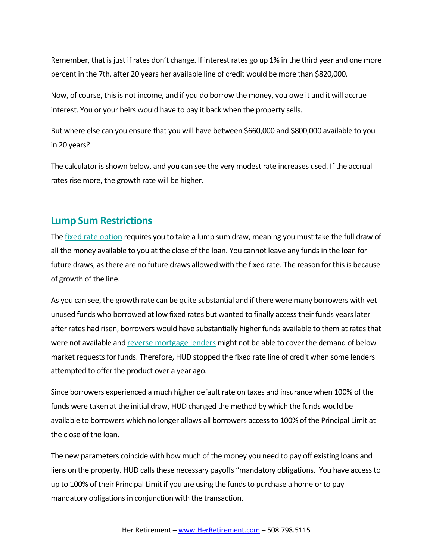Remember, that is just if rates don't change. If interest rates go up 1% in the third year and one more percent in the 7th, after 20 years her available line of credit would be more than \$820,000.

Now, of course, this is not income, and if you do borrow the money, you owe it and it will accrue interest. You or your heirs would have to pay it back when the property sells.

But where else can you ensure that you will have between \$660,000 and \$800,000 available to you in 20 years?

The calculator is shown below, and you can see the very modest rate increases used. If the accrual rates rise more, the growth rate will be higher.

### **Lump Sum Restrictions**

The fixed rate [option](https://reverse.mortgage/fixed-rate-unusable-funds) requires you to take a lump sum draw, meaning you must take the full draw of all the money available to you at the close of the loan. You cannot leave any funds in the loan for future draws, as there are no future draws allowed with the fixed rate. The reason for this is because of growth of the line.

As you can see, the growth rate can be quite substantial and if there were many borrowers with yet unused funds who borrowed at low fixed rates but wanted to finally access their funds years later after rates had risen, borrowers would have substantially higher funds available to them at rates that were not available and reverse [mortgage](https://reverse.mortgage/best-reverse-mortgage-lenders) lenders might not be able to cover the demand of below market requests for funds. Therefore, HUD stopped the fixed rate line of credit when some lenders attempted to offer the product over a year ago.

Since borrowers experienced a much higher default rate on taxes and insurance when 100% of the funds were taken at the initial draw, HUD changed the method by which the funds would be available to borrowers which no longer allows all borrowers access to 100% of the Principal Limit at the close of the loan.

The new parameters coincide with how much of the money you need to pay off existing loans and liens on the property. HUD calls these necessary payoffs "mandatory obligations. You have access to up to 100% of their Principal Limit if you are using the funds to purchase a home or to pay mandatory obligations in conjunction with the transaction.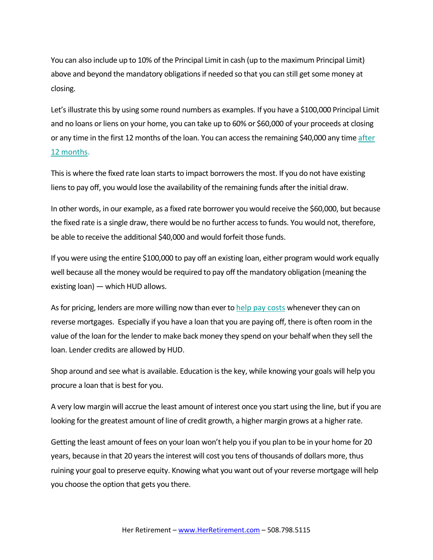You can also include up to 10% of the Principal Limit in cash (up to the maximum Principal Limit) above and beyond the mandatory obligations if needed so that you can still get some money at closing.

Let's illustrate this by using some round numbers as examples. If you have a \$100,000 Principal Limit and no loans or liens on your home, you can take up to 60% or \$60,000 of your proceeds at closing or any time in the first 12 months of the loan. You can access the remaining \$40,000 any time [after](https://reverse.mortgage/principal-limit-12-months) 12 [months.](https://reverse.mortgage/principal-limit-12-months)

This is where the fixed rate loan starts to impact borrowers the most. If you do not have existing liens to pay off, you would lose the availability of the remaining funds after the initial draw.

In other words, in our example, as a fixed rate borrower you would receive the \$60,000, but because the fixed rate is a single draw, there would be no further access to funds. You would not, therefore, be able to receive the additional \$40,000 and would forfeit those funds.

If you were using the entire \$100,000 to pay off an existing loan, either program would work equally well because all the money would be required to pay off the mandatory obligation (meaning the existing loan) — which HUD allows.

As for pricing, lenders are more willing now than ever to help pay [costs](https://reverse.mortgage/surprisingly-affordable) whenever they can on reverse mortgages. Especially if you have a loan that you are paying off, there is often room in the value of the loan for the lender to make back money they spend on your behalf when they sell the loan. Lender credits are allowed by HUD.

Shop around and see what is available. Education is the key, while knowing your goals will help you procure a loan that is best for you.

A very low margin will accrue the least amount of interest once you start using the line, but if you are looking for the greatest amount of line of credit growth, a higher margin grows at a higher rate.

Getting the least amount of fees on your loan won't help you if you plan to be in your home for 20 years, because in that 20 years the interest will cost you tens of thousands of dollars more, thus ruining your goal to preserve equity. Knowing what you want out of your reverse mortgage will help you choose the option that gets you there.